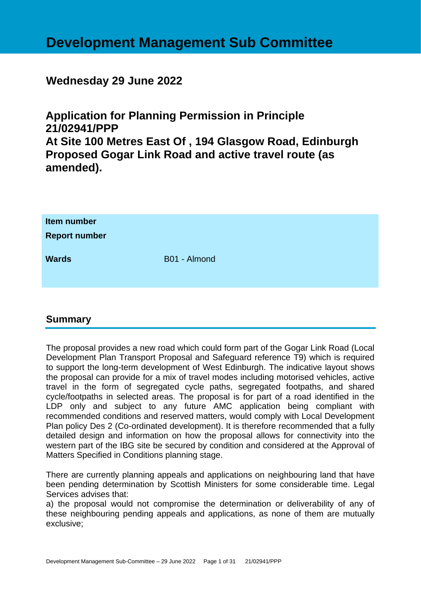# **Development Management Sub Committee**

## **Wednesday 29 June 2022**

**Application for Planning Permission in Principle 21/02941/PPP At Site 100 Metres East Of , 194 Glasgow Road, Edinburgh Proposed Gogar Link Road and active travel route (as amended).**

| Item number<br><b>Report number</b> |              |
|-------------------------------------|--------------|
| <b>Wards</b>                        | B01 - Almond |

## **Summary**

The proposal provides a new road which could form part of the Gogar Link Road (Local Development Plan Transport Proposal and Safeguard reference T9) which is required to support the long-term development of West Edinburgh. The indicative layout shows the proposal can provide for a mix of travel modes including motorised vehicles, active travel in the form of segregated cycle paths, segregated footpaths, and shared cycle/footpaths in selected areas. The proposal is for part of a road identified in the LDP only and subject to any future AMC application being compliant with recommended conditions and reserved matters, would comply with Local Development Plan policy Des 2 (Co-ordinated development). It is therefore recommended that a fully detailed design and information on how the proposal allows for connectivity into the western part of the IBG site be secured by condition and considered at the Approval of Matters Specified in Conditions planning stage.

There are currently planning appeals and applications on neighbouring land that have been pending determination by Scottish Ministers for some considerable time. Legal Services advises that:

a) the proposal would not compromise the determination or deliverability of any of these neighbouring pending appeals and applications, as none of them are mutually exclusive;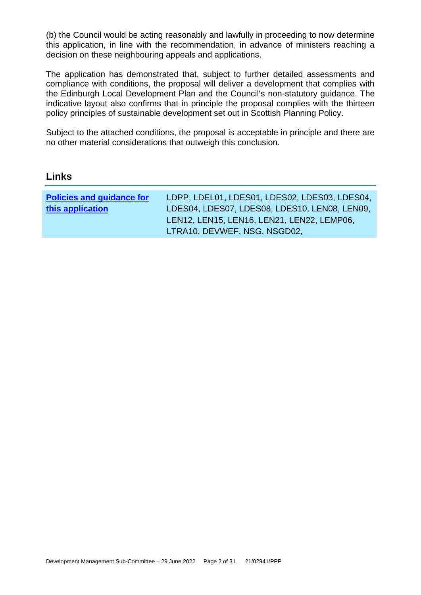(b) the Council would be acting reasonably and lawfully in proceeding to now determine this application, in line with the recommendation, in advance of ministers reaching a decision on these neighbouring appeals and applications.

The application has demonstrated that, subject to further detailed assessments and compliance with conditions, the proposal will deliver a development that complies with the Edinburgh Local Development Plan and the Council's non-statutory guidance. The indicative layout also confirms that in principle the proposal complies with the thirteen policy principles of sustainable development set out in Scottish Planning Policy.

Subject to the attached conditions, the proposal is acceptable in principle and there are no other material considerations that outweigh this conclusion.

#### **Links**

| <b>Policies and guidance for</b> | LDPP, LDEL01, LDES01, LDES02, LDES03, LDES04, |
|----------------------------------|-----------------------------------------------|
| this application                 | LDES04, LDES07, LDES08, LDES10, LEN08, LEN09, |
|                                  | LEN12, LEN15, LEN16, LEN21, LEN22, LEMP06,    |
|                                  | LTRA10, DEVWEF, NSG, NSGD02,                  |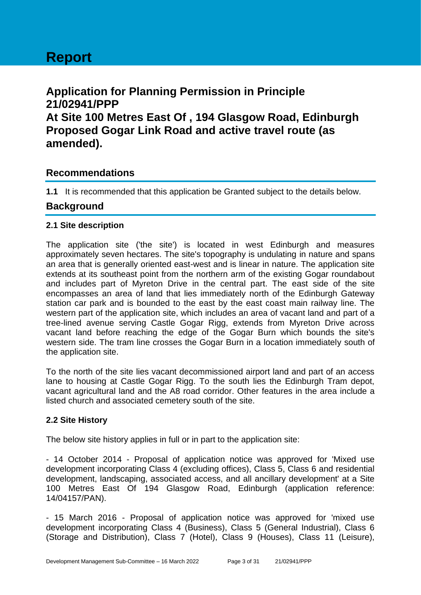## **Application for Planning Permission in Principle 21/02941/PPP At Site 100 Metres East Of , 194 Glasgow Road, Edinburgh Proposed Gogar Link Road and active travel route (as amended).**

## **Recommendations**

**1.1** It is recommended that this application be Granted subject to the details below.

## **Background**

#### **2.1 Site description**

The application site ('the site') is located in west Edinburgh and measures approximately seven hectares. The site's topography is undulating in nature and spans an area that is generally oriented east-west and is linear in nature. The application site extends at its southeast point from the northern arm of the existing Gogar roundabout and includes part of Myreton Drive in the central part. The east side of the site encompasses an area of land that lies immediately north of the Edinburgh Gateway station car park and is bounded to the east by the east coast main railway line. The western part of the application site, which includes an area of vacant land and part of a tree-lined avenue serving Castle Gogar Rigg, extends from Myreton Drive across vacant land before reaching the edge of the Gogar Burn which bounds the site's western side. The tram line crosses the Gogar Burn in a location immediately south of the application site.

To the north of the site lies vacant decommissioned airport land and part of an access lane to housing at Castle Gogar Rigg. To the south lies the Edinburgh Tram depot, vacant agricultural land and the A8 road corridor. Other features in the area include a listed church and associated cemetery south of the site.

## **2.2 Site History**

The below site history applies in full or in part to the application site:

- 14 October 2014 - Proposal of application notice was approved for 'Mixed use development incorporating Class 4 (excluding offices), Class 5, Class 6 and residential development, landscaping, associated access, and all ancillary development' at a Site 100 Metres East Of 194 Glasgow Road, Edinburgh (application reference: 14/04157/PAN).

- 15 March 2016 - Proposal of application notice was approved for 'mixed use development incorporating Class 4 (Business), Class 5 (General Industrial), Class 6 (Storage and Distribution), Class 7 (Hotel), Class 9 (Houses), Class 11 (Leisure),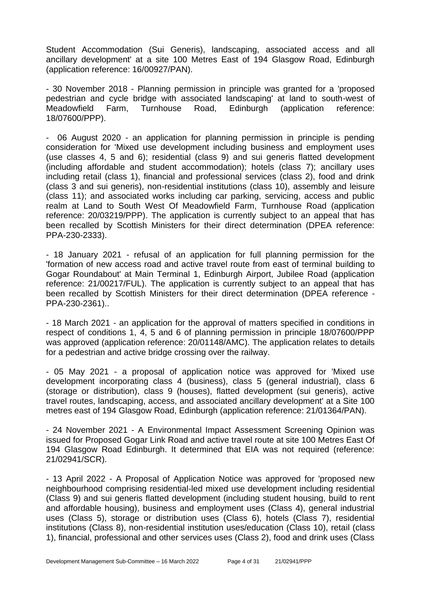Student Accommodation (Sui Generis), landscaping, associated access and all ancillary development' at a site 100 Metres East of 194 Glasgow Road, Edinburgh (application reference: 16/00927/PAN).

- 30 November 2018 - Planning permission in principle was granted for a 'proposed pedestrian and cycle bridge with associated landscaping' at land to south-west of Meadowfield Farm, Turnhouse Road, Edinburgh (application reference: 18/07600/PPP).

- 06 August 2020 - an application for planning permission in principle is pending consideration for 'Mixed use development including business and employment uses (use classes 4, 5 and 6); residential (class 9) and sui generis flatted development (including affordable and student accommodation); hotels (class 7); ancillary uses including retail (class 1), financial and professional services (class 2), food and drink (class 3 and sui generis), non-residential institutions (class 10), assembly and leisure (class 11); and associated works including car parking, servicing, access and public realm at Land to South West Of Meadowfield Farm, Turnhouse Road (application reference: 20/03219/PPP). The application is currently subject to an appeal that has been recalled by Scottish Ministers for their direct determination (DPEA reference: PPA-230-2333).

- 18 January 2021 - refusal of an application for full planning permission for the 'formation of new access road and active travel route from east of terminal building to Gogar Roundabout' at Main Terminal 1, Edinburgh Airport, Jubilee Road (application reference: 21/00217/FUL). The application is currently subject to an appeal that has been recalled by Scottish Ministers for their direct determination (DPEA reference - PPA-230-2361)..

- 18 March 2021 - an application for the approval of matters specified in conditions in respect of conditions 1, 4, 5 and 6 of planning permission in principle 18/07600/PPP was approved (application reference: 20/01148/AMC). The application relates to details for a pedestrian and active bridge crossing over the railway.

- 05 May 2021 - a proposal of application notice was approved for 'Mixed use development incorporating class 4 (business), class 5 (general industrial), class 6 (storage or distribution), class 9 (houses), flatted development (sui generis), active travel routes, landscaping, access, and associated ancillary development' at a Site 100 metres east of 194 Glasgow Road, Edinburgh (application reference: 21/01364/PAN).

- 24 November 2021 - A Environmental Impact Assessment Screening Opinion was issued for Proposed Gogar Link Road and active travel route at site 100 Metres East Of 194 Glasgow Road Edinburgh. It determined that EIA was not required (reference: 21/02941/SCR).

- 13 April 2022 - A Proposal of Application Notice was approved for 'proposed new neighbourhood comprising residential-led mixed use development including residential (Class 9) and sui generis flatted development (including student housing, build to rent and affordable housing), business and employment uses (Class 4), general industrial uses (Class 5), storage or distribution uses (Class 6), hotels (Class 7), residential institutions (Class 8), non-residential institution uses/education (Class 10), retail (class 1), financial, professional and other services uses (Class 2), food and drink uses (Class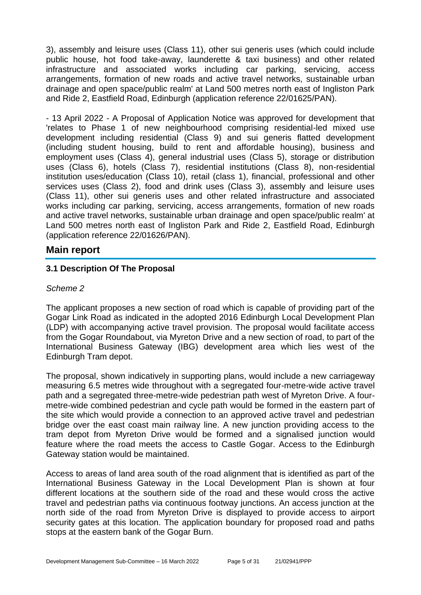3), assembly and leisure uses (Class 11), other sui generis uses (which could include public house, hot food take-away, launderette & taxi business) and other related infrastructure and associated works including car parking, servicing, access arrangements, formation of new roads and active travel networks, sustainable urban drainage and open space/public realm' at Land 500 metres north east of Ingliston Park and Ride 2, Eastfield Road, Edinburgh (application reference 22/01625/PAN).

- 13 April 2022 - A Proposal of Application Notice was approved for development that 'relates to Phase 1 of new neighbourhood comprising residential-led mixed use development including residential (Class 9) and sui generis flatted development (including student housing, build to rent and affordable housing), business and employment uses (Class 4), general industrial uses (Class 5), storage or distribution uses (Class 6), hotels (Class 7), residential institutions (Class 8), non-residential institution uses/education (Class 10), retail (class 1), financial, professional and other services uses (Class 2), food and drink uses (Class 3), assembly and leisure uses (Class 11), other sui generis uses and other related infrastructure and associated works including car parking, servicing, access arrangements, formation of new roads and active travel networks, sustainable urban drainage and open space/public realm' at Land 500 metres north east of Ingliston Park and Ride 2, Eastfield Road, Edinburgh (application reference 22/01626/PAN).

## **Main report**

## **3.1 Description Of The Proposal**

#### *Scheme 2*

The applicant proposes a new section of road which is capable of providing part of the Gogar Link Road as indicated in the adopted 2016 Edinburgh Local Development Plan (LDP) with accompanying active travel provision. The proposal would facilitate access from the Gogar Roundabout, via Myreton Drive and a new section of road, to part of the International Business Gateway (IBG) development area which lies west of the Edinburgh Tram depot.

The proposal, shown indicatively in supporting plans, would include a new carriageway measuring 6.5 metres wide throughout with a segregated four-metre-wide active travel path and a segregated three-metre-wide pedestrian path west of Myreton Drive. A fourmetre-wide combined pedestrian and cycle path would be formed in the eastern part of the site which would provide a connection to an approved active travel and pedestrian bridge over the east coast main railway line. A new junction providing access to the tram depot from Myreton Drive would be formed and a signalised junction would feature where the road meets the access to Castle Gogar. Access to the Edinburgh Gateway station would be maintained.

Access to areas of land area south of the road alignment that is identified as part of the International Business Gateway in the Local Development Plan is shown at four different locations at the southern side of the road and these would cross the active travel and pedestrian paths via continuous footway junctions. An access junction at the north side of the road from Myreton Drive is displayed to provide access to airport security gates at this location. The application boundary for proposed road and paths stops at the eastern bank of the Gogar Burn.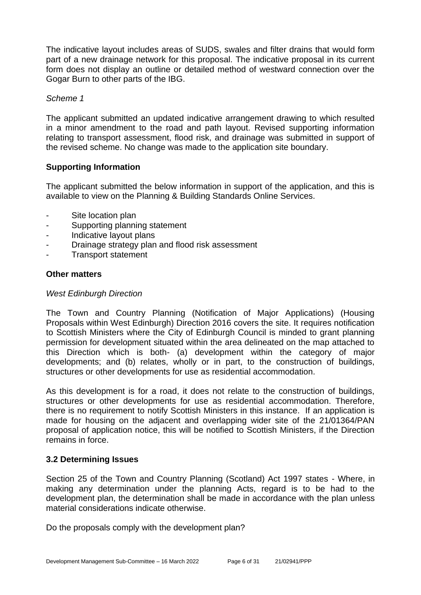The indicative layout includes areas of SUDS, swales and filter drains that would form part of a new drainage network for this proposal. The indicative proposal in its current form does not display an outline or detailed method of westward connection over the Gogar Burn to other parts of the IBG.

#### *Scheme 1*

The applicant submitted an updated indicative arrangement drawing to which resulted in a minor amendment to the road and path layout. Revised supporting information relating to transport assessment, flood risk, and drainage was submitted in support of the revised scheme. No change was made to the application site boundary.

#### **Supporting Information**

The applicant submitted the below information in support of the application, and this is available to view on the Planning & Building Standards Online Services.

- Site location plan
- Supporting planning statement
- Indicative layout plans
- Drainage strategy plan and flood risk assessment
- Transport statement

#### **Other matters**

#### *West Edinburgh Direction*

The Town and Country Planning (Notification of Major Applications) (Housing Proposals within West Edinburgh) Direction 2016 covers the site. It requires notification to Scottish Ministers where the City of Edinburgh Council is minded to grant planning permission for development situated within the area delineated on the map attached to this Direction which is both- (a) development within the category of major developments; and (b) relates, wholly or in part, to the construction of buildings, structures or other developments for use as residential accommodation.

As this development is for a road, it does not relate to the construction of buildings, structures or other developments for use as residential accommodation. Therefore, there is no requirement to notify Scottish Ministers in this instance. If an application is made for housing on the adjacent and overlapping wider site of the 21/01364/PAN proposal of application notice, this will be notified to Scottish Ministers, if the Direction remains in force.

#### **3.2 Determining Issues**

Section 25 of the Town and Country Planning (Scotland) Act 1997 states - Where, in making any determination under the planning Acts, regard is to be had to the development plan, the determination shall be made in accordance with the plan unless material considerations indicate otherwise.

Do the proposals comply with the development plan?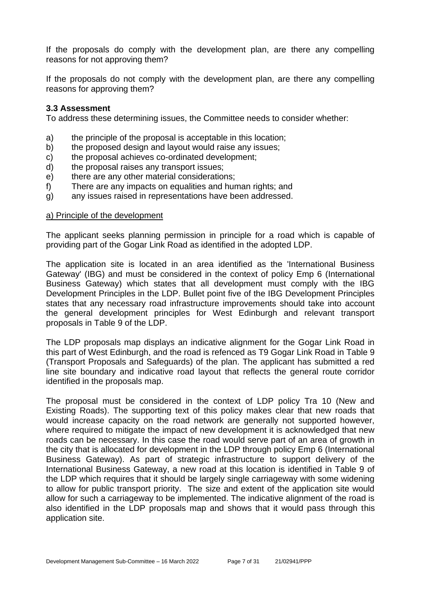If the proposals do comply with the development plan, are there any compelling reasons for not approving them?

If the proposals do not comply with the development plan, are there any compelling reasons for approving them?

#### **3.3 Assessment**

To address these determining issues, the Committee needs to consider whether:

- a) the principle of the proposal is acceptable in this location;
- b) the proposed design and layout would raise any issues;
- c) the proposal achieves co-ordinated development;
- d) the proposal raises any transport issues;
- e) there are any other material considerations;
- f) There are any impacts on equalities and human rights; and
- g) any issues raised in representations have been addressed.

#### a) Principle of the development

The applicant seeks planning permission in principle for a road which is capable of providing part of the Gogar Link Road as identified in the adopted LDP.

The application site is located in an area identified as the 'International Business Gateway' (IBG) and must be considered in the context of policy Emp 6 (International Business Gateway) which states that all development must comply with the IBG Development Principles in the LDP. Bullet point five of the IBG Development Principles states that any necessary road infrastructure improvements should take into account the general development principles for West Edinburgh and relevant transport proposals in Table 9 of the LDP.

The LDP proposals map displays an indicative alignment for the Gogar Link Road in this part of West Edinburgh, and the road is refenced as T9 Gogar Link Road in Table 9 (Transport Proposals and Safeguards) of the plan. The applicant has submitted a red line site boundary and indicative road layout that reflects the general route corridor identified in the proposals map.

The proposal must be considered in the context of LDP policy Tra 10 (New and Existing Roads). The supporting text of this policy makes clear that new roads that would increase capacity on the road network are generally not supported however, where required to mitigate the impact of new development it is acknowledged that new roads can be necessary. In this case the road would serve part of an area of growth in the city that is allocated for development in the LDP through policy Emp 6 (International Business Gateway). As part of strategic infrastructure to support delivery of the International Business Gateway, a new road at this location is identified in Table 9 of the LDP which requires that it should be largely single carriageway with some widening to allow for public transport priority. The size and extent of the application site would allow for such a carriageway to be implemented. The indicative alignment of the road is also identified in the LDP proposals map and shows that it would pass through this application site.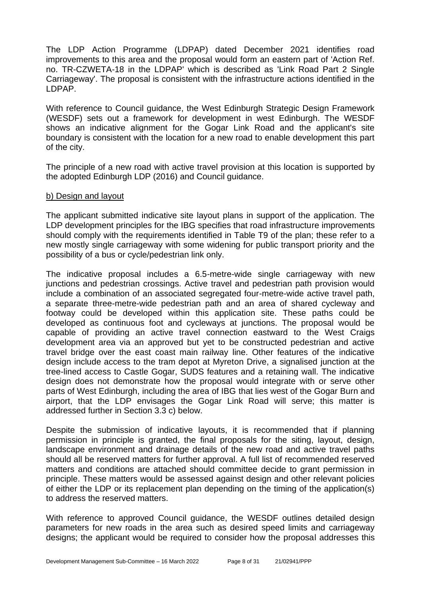The LDP Action Programme (LDPAP) dated December 2021 identifies road improvements to this area and the proposal would form an eastern part of 'Action Ref. no. TR-CZWETA-18 in the LDPAP' which is described as 'Link Road Part 2 Single Carriageway'. The proposal is consistent with the infrastructure actions identified in the LDPAP.

With reference to Council guidance, the West Edinburgh Strategic Design Framework (WESDF) sets out a framework for development in west Edinburgh. The WESDF shows an indicative alignment for the Gogar Link Road and the applicant's site boundary is consistent with the location for a new road to enable development this part of the city.

The principle of a new road with active travel provision at this location is supported by the adopted Edinburgh LDP (2016) and Council guidance.

#### b) Design and layout

The applicant submitted indicative site layout plans in support of the application. The LDP development principles for the IBG specifies that road infrastructure improvements should comply with the requirements identified in Table T9 of the plan; these refer to a new mostly single carriageway with some widening for public transport priority and the possibility of a bus or cycle/pedestrian link only.

The indicative proposal includes a 6.5-metre-wide single carriageway with new junctions and pedestrian crossings. Active travel and pedestrian path provision would include a combination of an associated segregated four-metre-wide active travel path, a separate three-metre-wide pedestrian path and an area of shared cycleway and footway could be developed within this application site. These paths could be developed as continuous foot and cycleways at junctions. The proposal would be capable of providing an active travel connection eastward to the West Craigs development area via an approved but yet to be constructed pedestrian and active travel bridge over the east coast main railway line. Other features of the indicative design include access to the tram depot at Myreton Drive, a signalised junction at the tree-lined access to Castle Gogar, SUDS features and a retaining wall. The indicative design does not demonstrate how the proposal would integrate with or serve other parts of West Edinburgh, including the area of IBG that lies west of the Gogar Burn and airport, that the LDP envisages the Gogar Link Road will serve; this matter is addressed further in Section 3.3 c) below.

Despite the submission of indicative layouts, it is recommended that if planning permission in principle is granted, the final proposals for the siting, layout, design, landscape environment and drainage details of the new road and active travel paths should all be reserved matters for further approval. A full list of recommended reserved matters and conditions are attached should committee decide to grant permission in principle. These matters would be assessed against design and other relevant policies of either the LDP or its replacement plan depending on the timing of the application(s) to address the reserved matters.

With reference to approved Council guidance, the WESDF outlines detailed design parameters for new roads in the area such as desired speed limits and carriageway designs; the applicant would be required to consider how the proposal addresses this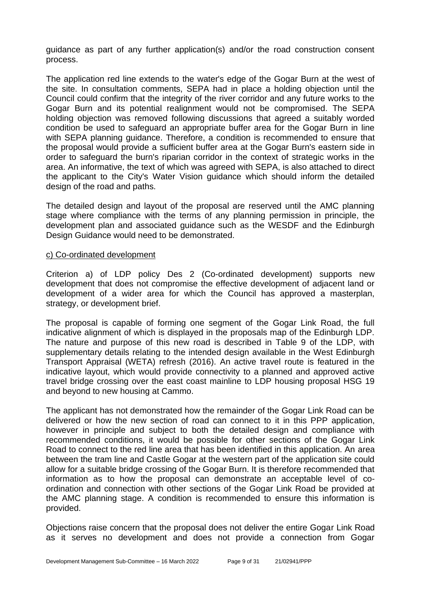guidance as part of any further application(s) and/or the road construction consent process.

The application red line extends to the water's edge of the Gogar Burn at the west of the site. In consultation comments, SEPA had in place a holding objection until the Council could confirm that the integrity of the river corridor and any future works to the Gogar Burn and its potential realignment would not be compromised. The SEPA holding objection was removed following discussions that agreed a suitably worded condition be used to safeguard an appropriate buffer area for the Gogar Burn in line with SEPA planning guidance. Therefore, a condition is recommended to ensure that the proposal would provide a sufficient buffer area at the Gogar Burn's eastern side in order to safeguard the burn's riparian corridor in the context of strategic works in the area. An informative, the text of which was agreed with SEPA, is also attached to direct the applicant to the City's Water Vision guidance which should inform the detailed design of the road and paths.

The detailed design and layout of the proposal are reserved until the AMC planning stage where compliance with the terms of any planning permission in principle, the development plan and associated guidance such as the WESDF and the Edinburgh Design Guidance would need to be demonstrated.

#### c) Co-ordinated development

Criterion a) of LDP policy Des 2 (Co-ordinated development) supports new development that does not compromise the effective development of adjacent land or development of a wider area for which the Council has approved a masterplan, strategy, or development brief.

The proposal is capable of forming one segment of the Gogar Link Road, the full indicative alignment of which is displayed in the proposals map of the Edinburgh LDP. The nature and purpose of this new road is described in Table 9 of the LDP, with supplementary details relating to the intended design available in the West Edinburgh Transport Appraisal (WETA) refresh (2016). An active travel route is featured in the indicative layout, which would provide connectivity to a planned and approved active travel bridge crossing over the east coast mainline to LDP housing proposal HSG 19 and beyond to new housing at Cammo.

The applicant has not demonstrated how the remainder of the Gogar Link Road can be delivered or how the new section of road can connect to it in this PPP application, however in principle and subject to both the detailed design and compliance with recommended conditions, it would be possible for other sections of the Gogar Link Road to connect to the red line area that has been identified in this application. An area between the tram line and Castle Gogar at the western part of the application site could allow for a suitable bridge crossing of the Gogar Burn. It is therefore recommended that information as to how the proposal can demonstrate an acceptable level of coordination and connection with other sections of the Gogar Link Road be provided at the AMC planning stage. A condition is recommended to ensure this information is provided.

Objections raise concern that the proposal does not deliver the entire Gogar Link Road as it serves no development and does not provide a connection from Gogar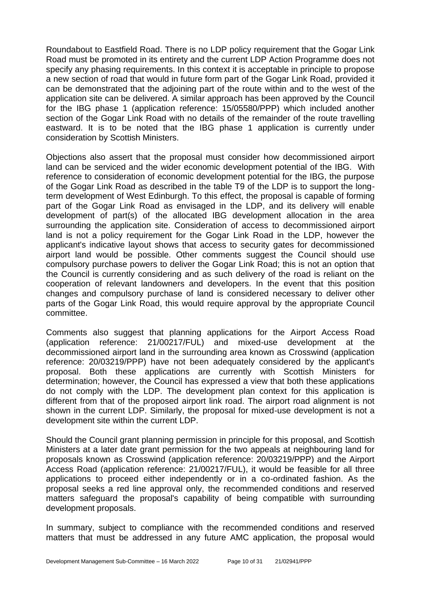Roundabout to Eastfield Road. There is no LDP policy requirement that the Gogar Link Road must be promoted in its entirety and the current LDP Action Programme does not specify any phasing requirements. In this context it is acceptable in principle to propose a new section of road that would in future form part of the Gogar Link Road, provided it can be demonstrated that the adjoining part of the route within and to the west of the application site can be delivered. A similar approach has been approved by the Council for the IBG phase 1 (application reference: 15/05580/PPP) which included another section of the Gogar Link Road with no details of the remainder of the route travelling eastward. It is to be noted that the IBG phase 1 application is currently under consideration by Scottish Ministers.

Objections also assert that the proposal must consider how decommissioned airport land can be serviced and the wider economic development potential of the IBG. With reference to consideration of economic development potential for the IBG, the purpose of the Gogar Link Road as described in the table T9 of the LDP is to support the longterm development of West Edinburgh. To this effect, the proposal is capable of forming part of the Gogar Link Road as envisaged in the LDP, and its delivery will enable development of part(s) of the allocated IBG development allocation in the area surrounding the application site. Consideration of access to decommissioned airport land is not a policy requirement for the Gogar Link Road in the LDP, however the applicant's indicative layout shows that access to security gates for decommissioned airport land would be possible. Other comments suggest the Council should use compulsory purchase powers to deliver the Gogar Link Road; this is not an option that the Council is currently considering and as such delivery of the road is reliant on the cooperation of relevant landowners and developers. In the event that this position changes and compulsory purchase of land is considered necessary to deliver other parts of the Gogar Link Road, this would require approval by the appropriate Council committee.

Comments also suggest that planning applications for the Airport Access Road (application reference: 21/00217/FUL) and mixed-use development at the decommissioned airport land in the surrounding area known as Crosswind (application reference: 20/03219/PPP) have not been adequately considered by the applicant's proposal. Both these applications are currently with Scottish Ministers for determination; however, the Council has expressed a view that both these applications do not comply with the LDP. The development plan context for this application is different from that of the proposed airport link road. The airport road alignment is not shown in the current LDP. Similarly, the proposal for mixed-use development is not a development site within the current LDP.

Should the Council grant planning permission in principle for this proposal, and Scottish Ministers at a later date grant permission for the two appeals at neighbouring land for proposals known as Crosswind (application reference: 20/03219/PPP) and the Airport Access Road (application reference: 21/00217/FUL), it would be feasible for all three applications to proceed either independently or in a co-ordinated fashion. As the proposal seeks a red line approval only, the recommended conditions and reserved matters safeguard the proposal's capability of being compatible with surrounding development proposals.

In summary, subject to compliance with the recommended conditions and reserved matters that must be addressed in any future AMC application, the proposal would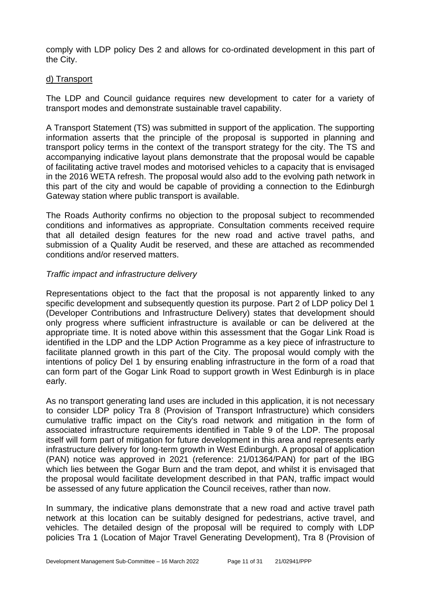comply with LDP policy Des 2 and allows for co-ordinated development in this part of the City.

#### d) Transport

The LDP and Council guidance requires new development to cater for a variety of transport modes and demonstrate sustainable travel capability.

A Transport Statement (TS) was submitted in support of the application. The supporting information asserts that the principle of the proposal is supported in planning and transport policy terms in the context of the transport strategy for the city. The TS and accompanying indicative layout plans demonstrate that the proposal would be capable of facilitating active travel modes and motorised vehicles to a capacity that is envisaged in the 2016 WETA refresh. The proposal would also add to the evolving path network in this part of the city and would be capable of providing a connection to the Edinburgh Gateway station where public transport is available.

The Roads Authority confirms no objection to the proposal subject to recommended conditions and informatives as appropriate. Consultation comments received require that all detailed design features for the new road and active travel paths, and submission of a Quality Audit be reserved, and these are attached as recommended conditions and/or reserved matters.

#### *Traffic impact and infrastructure delivery*

Representations object to the fact that the proposal is not apparently linked to any specific development and subsequently question its purpose. Part 2 of LDP policy Del 1 (Developer Contributions and Infrastructure Delivery) states that development should only progress where sufficient infrastructure is available or can be delivered at the appropriate time. It is noted above within this assessment that the Gogar Link Road is identified in the LDP and the LDP Action Programme as a key piece of infrastructure to facilitate planned growth in this part of the City. The proposal would comply with the intentions of policy Del 1 by ensuring enabling infrastructure in the form of a road that can form part of the Gogar Link Road to support growth in West Edinburgh is in place early.

As no transport generating land uses are included in this application, it is not necessary to consider LDP policy Tra 8 (Provision of Transport Infrastructure) which considers cumulative traffic impact on the City's road network and mitigation in the form of associated infrastructure requirements identified in Table 9 of the LDP. The proposal itself will form part of mitigation for future development in this area and represents early infrastructure delivery for long-term growth in West Edinburgh. A proposal of application (PAN) notice was approved in 2021 (reference: 21/01364/PAN) for part of the IBG which lies between the Gogar Burn and the tram depot, and whilst it is envisaged that the proposal would facilitate development described in that PAN, traffic impact would be assessed of any future application the Council receives, rather than now.

In summary, the indicative plans demonstrate that a new road and active travel path network at this location can be suitably designed for pedestrians, active travel, and vehicles. The detailed design of the proposal will be required to comply with LDP policies Tra 1 (Location of Major Travel Generating Development), Tra 8 (Provision of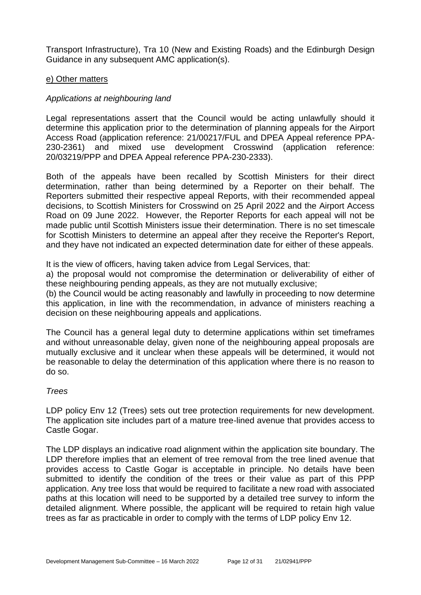Transport Infrastructure), Tra 10 (New and Existing Roads) and the Edinburgh Design Guidance in any subsequent AMC application(s).

#### e) Other matters

#### *Applications at neighbouring land*

Legal representations assert that the Council would be acting unlawfully should it determine this application prior to the determination of planning appeals for the Airport Access Road (application reference: 21/00217/FUL and DPEA Appeal reference PPA-230-2361) and mixed use development Crosswind (application reference: 20/03219/PPP and DPEA Appeal reference PPA-230-2333).

Both of the appeals have been recalled by Scottish Ministers for their direct determination, rather than being determined by a Reporter on their behalf. The Reporters submitted their respective appeal Reports, with their recommended appeal decisions, to Scottish Ministers for Crosswind on 25 April 2022 and the Airport Access Road on 09 June 2022. However, the Reporter Reports for each appeal will not be made public until Scottish Ministers issue their determination. There is no set timescale for Scottish Ministers to determine an appeal after they receive the Reporter's Report, and they have not indicated an expected determination date for either of these appeals.

It is the view of officers, having taken advice from Legal Services, that:

a) the proposal would not compromise the determination or deliverability of either of these neighbouring pending appeals, as they are not mutually exclusive;

(b) the Council would be acting reasonably and lawfully in proceeding to now determine this application, in line with the recommendation, in advance of ministers reaching a decision on these neighbouring appeals and applications.

The Council has a general legal duty to determine applications within set timeframes and without unreasonable delay, given none of the neighbouring appeal proposals are mutually exclusive and it unclear when these appeals will be determined, it would not be reasonable to delay the determination of this application where there is no reason to do so.

#### *Trees*

LDP policy Env 12 (Trees) sets out tree protection requirements for new development. The application site includes part of a mature tree-lined avenue that provides access to Castle Gogar.

The LDP displays an indicative road alignment within the application site boundary. The LDP therefore implies that an element of tree removal from the tree lined avenue that provides access to Castle Gogar is acceptable in principle. No details have been submitted to identify the condition of the trees or their value as part of this PPP application. Any tree loss that would be required to facilitate a new road with associated paths at this location will need to be supported by a detailed tree survey to inform the detailed alignment. Where possible, the applicant will be required to retain high value trees as far as practicable in order to comply with the terms of LDP policy Env 12.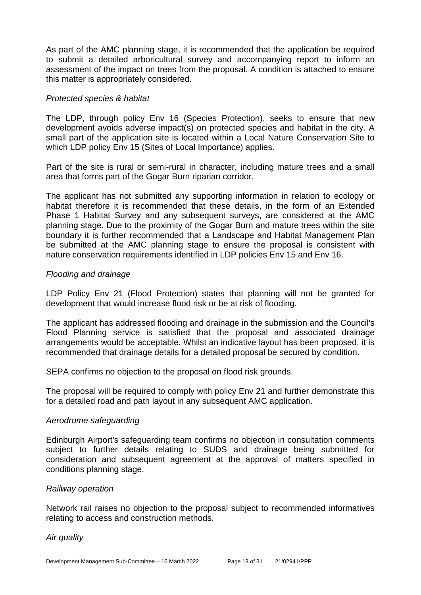As part of the AMC planning stage, it is recommended that the application be required to submit a detailed arboricultural survey and accompanying report to inform an assessment of the impact on trees from the proposal. A condition is attached to ensure this matter is appropriately considered.

#### *Protected species & habitat*

The LDP, through policy Env 16 (Species Protection), seeks to ensure that new development avoids adverse impact(s) on protected species and habitat in the city. A small part of the application site is located within a Local Nature Conservation Site to which LDP policy Env 15 (Sites of Local Importance) applies.

Part of the site is rural or semi-rural in character, including mature trees and a small area that forms part of the Gogar Burn riparian corridor.

The applicant has not submitted any supporting information in relation to ecology or habitat therefore it is recommended that these details, in the form of an Extended Phase 1 Habitat Survey and any subsequent surveys, are considered at the AMC planning stage. Due to the proximity of the Gogar Burn and mature trees within the site boundary it is further recommended that a Landscape and Habitat Management Plan be submitted at the AMC planning stage to ensure the proposal is consistent with nature conservation requirements identified in LDP policies Env 15 and Env 16.

#### *Flooding and drainage*

LDP Policy Env 21 (Flood Protection) states that planning will not be granted for development that would increase flood risk or be at risk of flooding.

The applicant has addressed flooding and drainage in the submission and the Council's Flood Planning service is satisfied that the proposal and associated drainage arrangements would be acceptable. Whilst an indicative layout has been proposed, it is recommended that drainage details for a detailed proposal be secured by condition.

SEPA confirms no objection to the proposal on flood risk grounds.

The proposal will be required to comply with policy Env 21 and further demonstrate this for a detailed road and path layout in any subsequent AMC application.

#### *Aerodrome safeguarding*

Edinburgh Airport's safeguarding team confirms no objection in consultation comments subject to further details relating to SUDS and drainage being submitted for consideration and subsequent agreement at the approval of matters specified in conditions planning stage.

#### *Railway operation*

Network rail raises no objection to the proposal subject to recommended informatives relating to access and construction methods.

*Air quality*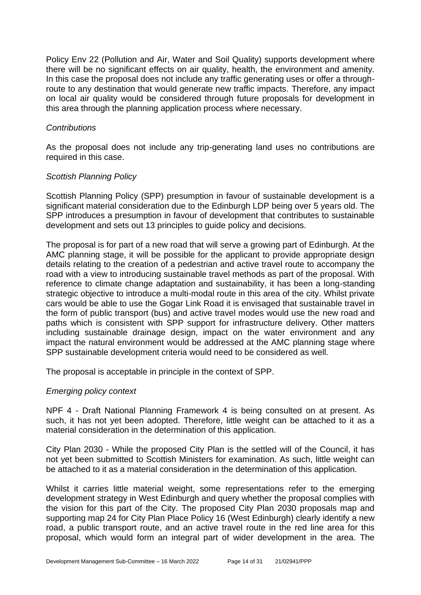Policy Env 22 (Pollution and Air, Water and Soil Quality) supports development where there will be no significant effects on air quality, health, the environment and amenity. In this case the proposal does not include any traffic generating uses or offer a throughroute to any destination that would generate new traffic impacts. Therefore, any impact on local air quality would be considered through future proposals for development in this area through the planning application process where necessary.

#### *Contributions*

As the proposal does not include any trip-generating land uses no contributions are required in this case.

#### *Scottish Planning Policy*

Scottish Planning Policy (SPP) presumption in favour of sustainable development is a significant material consideration due to the Edinburgh LDP being over 5 years old. The SPP introduces a presumption in favour of development that contributes to sustainable development and sets out 13 principles to guide policy and decisions.

The proposal is for part of a new road that will serve a growing part of Edinburgh. At the AMC planning stage, it will be possible for the applicant to provide appropriate design details relating to the creation of a pedestrian and active travel route to accompany the road with a view to introducing sustainable travel methods as part of the proposal. With reference to climate change adaptation and sustainability, it has been a long-standing strategic objective to introduce a multi-modal route in this area of the city. Whilst private cars would be able to use the Gogar Link Road it is envisaged that sustainable travel in the form of public transport (bus) and active travel modes would use the new road and paths which is consistent with SPP support for infrastructure delivery. Other matters including sustainable drainage design, impact on the water environment and any impact the natural environment would be addressed at the AMC planning stage where SPP sustainable development criteria would need to be considered as well.

The proposal is acceptable in principle in the context of SPP.

#### *Emerging policy context*

NPF 4 - Draft National Planning Framework 4 is being consulted on at present. As such, it has not yet been adopted. Therefore, little weight can be attached to it as a material consideration in the determination of this application.

City Plan 2030 - While the proposed City Plan is the settled will of the Council, it has not yet been submitted to Scottish Ministers for examination. As such, little weight can be attached to it as a material consideration in the determination of this application.

Whilst it carries little material weight, some representations refer to the emerging development strategy in West Edinburgh and query whether the proposal complies with the vision for this part of the City. The proposed City Plan 2030 proposals map and supporting map 24 for City Plan Place Policy 16 (West Edinburgh) clearly identify a new road, a public transport route, and an active travel route in the red line area for this proposal, which would form an integral part of wider development in the area. The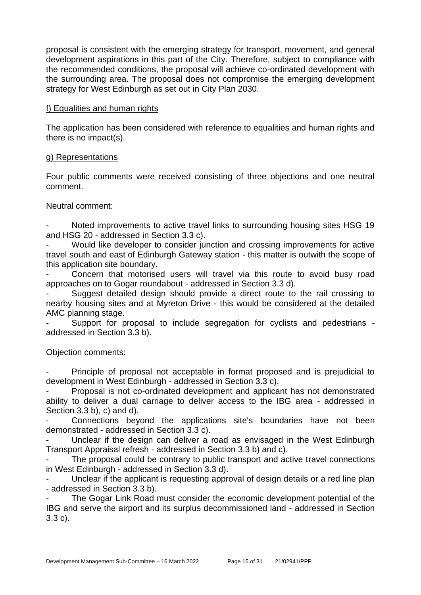proposal is consistent with the emerging strategy for transport, movement, and general development aspirations in this part of the City. Therefore, subject to compliance with the recommended conditions, the proposal will achieve co-ordinated development with the surrounding area. The proposal does not compromise the emerging development strategy for West Edinburgh as set out in City Plan 2030.

#### f) Equalities and human rights

The application has been considered with reference to equalities and human rights and there is no impact(s).

#### g) Representations

Four public comments were received consisting of three objections and one neutral comment.

Neutral comment:

Noted improvements to active travel links to surrounding housing sites HSG 19 and HSG 20 - addressed in Section 3.3 c).

Would like developer to consider junction and crossing improvements for active travel south and east of Edinburgh Gateway station - this matter is outwith the scope of this application site boundary.

Concern that motorised users will travel via this route to avoid busy road approaches on to Gogar roundabout - addressed in Section 3.3 d).

Suggest detailed design should provide a direct route to the rail crossing to nearby housing sites and at Myreton Drive - this would be considered at the detailed AMC planning stage.

Support for proposal to include segregation for cyclists and pedestrians addressed in Section 3.3 b).

Objection comments:

Principle of proposal not acceptable in format proposed and is prejudicial to development in West Edinburgh - addressed in Section 3.3 c).

Proposal is not co-ordinated development and applicant has not demonstrated ability to deliver a dual carriage to deliver access to the IBG area - addressed in Section 3.3 b), c) and d).

Connections beyond the applications site's boundaries have not been demonstrated - addressed in Section 3.3 c).

Unclear if the design can deliver a road as envisaged in the West Edinburgh Transport Appraisal refresh - addressed in Section 3.3 b) and c).

The proposal could be contrary to public transport and active travel connections in West Edinburgh - addressed in Section 3.3 d).

Unclear if the applicant is requesting approval of design details or a red line plan - addressed in Section 3.3 b).

The Gogar Link Road must consider the economic development potential of the IBG and serve the airport and its surplus decommissioned land - addressed in Section 3.3 c).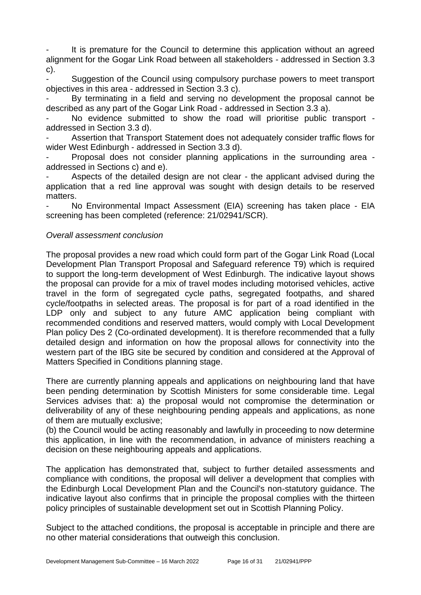It is premature for the Council to determine this application without an agreed alignment for the Gogar Link Road between all stakeholders - addressed in Section 3.3 c).

Suggestion of the Council using compulsory purchase powers to meet transport objectives in this area - addressed in Section 3.3 c).

By terminating in a field and serving no development the proposal cannot be described as any part of the Gogar Link Road - addressed in Section 3.3 a).

No evidence submitted to show the road will prioritise public transport addressed in Section 3.3 d).

Assertion that Transport Statement does not adequately consider traffic flows for wider West Edinburgh - addressed in Section 3.3 d).

Proposal does not consider planning applications in the surrounding area addressed in Sections c) and e).

Aspects of the detailed design are not clear - the applicant advised during the application that a red line approval was sought with design details to be reserved matters.

No Environmental Impact Assessment (EIA) screening has taken place - EIA screening has been completed (reference: 21/02941/SCR).

#### *Overall assessment conclusion*

The proposal provides a new road which could form part of the Gogar Link Road (Local Development Plan Transport Proposal and Safeguard reference T9) which is required to support the long-term development of West Edinburgh. The indicative layout shows the proposal can provide for a mix of travel modes including motorised vehicles, active travel in the form of segregated cycle paths, segregated footpaths, and shared cycle/footpaths in selected areas. The proposal is for part of a road identified in the LDP only and subject to any future AMC application being compliant with recommended conditions and reserved matters, would comply with Local Development Plan policy Des 2 (Co-ordinated development). It is therefore recommended that a fully detailed design and information on how the proposal allows for connectivity into the western part of the IBG site be secured by condition and considered at the Approval of Matters Specified in Conditions planning stage.

There are currently planning appeals and applications on neighbouring land that have been pending determination by Scottish Ministers for some considerable time. Legal Services advises that: a) the proposal would not compromise the determination or deliverability of any of these neighbouring pending appeals and applications, as none of them are mutually exclusive;

(b) the Council would be acting reasonably and lawfully in proceeding to now determine this application, in line with the recommendation, in advance of ministers reaching a decision on these neighbouring appeals and applications.

The application has demonstrated that, subject to further detailed assessments and compliance with conditions, the proposal will deliver a development that complies with the Edinburgh Local Development Plan and the Council's non-statutory guidance. The indicative layout also confirms that in principle the proposal complies with the thirteen policy principles of sustainable development set out in Scottish Planning Policy.

Subject to the attached conditions, the proposal is acceptable in principle and there are no other material considerations that outweigh this conclusion.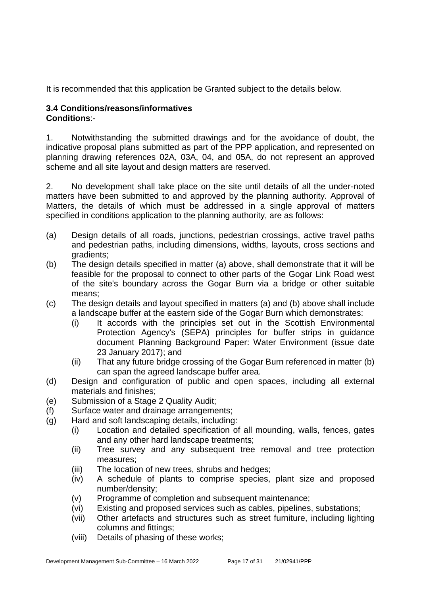It is recommended that this application be Granted subject to the details below.

## **3.4 Conditions/reasons/informatives Conditions**:-

1. Notwithstanding the submitted drawings and for the avoidance of doubt, the indicative proposal plans submitted as part of the PPP application, and represented on planning drawing references 02A, 03A, 04, and 05A, do not represent an approved scheme and all site layout and design matters are reserved.

2. No development shall take place on the site until details of all the under-noted matters have been submitted to and approved by the planning authority. Approval of Matters, the details of which must be addressed in a single approval of matters specified in conditions application to the planning authority, are as follows:

- (a) Design details of all roads, junctions, pedestrian crossings, active travel paths and pedestrian paths, including dimensions, widths, layouts, cross sections and gradients;
- (b) The design details specified in matter (a) above, shall demonstrate that it will be feasible for the proposal to connect to other parts of the Gogar Link Road west of the site's boundary across the Gogar Burn via a bridge or other suitable means;
- (c) The design details and layout specified in matters (a) and (b) above shall include a landscape buffer at the eastern side of the Gogar Burn which demonstrates:
	- (i) It accords with the principles set out in the Scottish Environmental Protection Agency's (SEPA) principles for buffer strips in guidance document Planning Background Paper: Water Environment (issue date 23 January 2017); and
	- (ii) That any future bridge crossing of the Gogar Burn referenced in matter (b) can span the agreed landscape buffer area.
- (d) Design and configuration of public and open spaces, including all external materials and finishes;
- (e) Submission of a Stage 2 Quality Audit;
- (f) Surface water and drainage arrangements;
- (g) Hard and soft landscaping details, including:
	- (i) Location and detailed specification of all mounding, walls, fences, gates and any other hard landscape treatments;
	- (ii) Tree survey and any subsequent tree removal and tree protection measures;
	- (iii) The location of new trees, shrubs and hedges;
	- (iv) A schedule of plants to comprise species, plant size and proposed number/density;
	- (v) Programme of completion and subsequent maintenance;
	- (vi) Existing and proposed services such as cables, pipelines, substations;
	- (vii) Other artefacts and structures such as street furniture, including lighting columns and fittings;
	- (viii) Details of phasing of these works;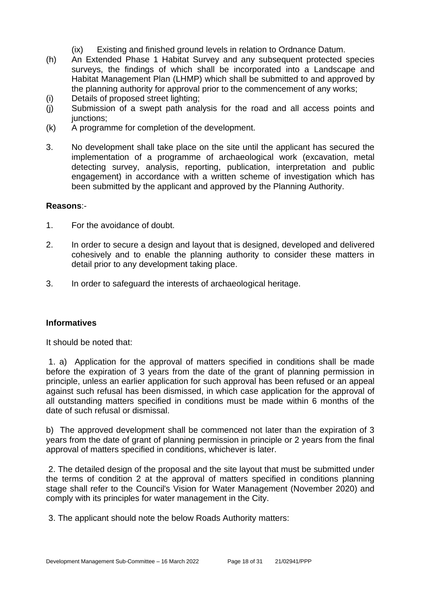- (ix) Existing and finished ground levels in relation to Ordnance Datum.
- (h) An Extended Phase 1 Habitat Survey and any subsequent protected species surveys, the findings of which shall be incorporated into a Landscape and Habitat Management Plan (LHMP) which shall be submitted to and approved by the planning authority for approval prior to the commencement of any works;
- (i) Details of proposed street lighting;
- (j) Submission of a swept path analysis for the road and all access points and junctions:
- (k) A programme for completion of the development.
- 3. No development shall take place on the site until the applicant has secured the implementation of a programme of archaeological work (excavation, metal detecting survey, analysis, reporting, publication, interpretation and public engagement) in accordance with a written scheme of investigation which has been submitted by the applicant and approved by the Planning Authority.

#### **Reasons**:-

- 1. For the avoidance of doubt.
- 2. In order to secure a design and layout that is designed, developed and delivered cohesively and to enable the planning authority to consider these matters in detail prior to any development taking place.
- 3. In order to safeguard the interests of archaeological heritage.

#### **Informatives**

It should be noted that:

1. a) Application for the approval of matters specified in conditions shall be made before the expiration of 3 years from the date of the grant of planning permission in principle, unless an earlier application for such approval has been refused or an appeal against such refusal has been dismissed, in which case application for the approval of all outstanding matters specified in conditions must be made within 6 months of the date of such refusal or dismissal.

b) The approved development shall be commenced not later than the expiration of 3 years from the date of grant of planning permission in principle or 2 years from the final approval of matters specified in conditions, whichever is later.

2. The detailed design of the proposal and the site layout that must be submitted under the terms of condition 2 at the approval of matters specified in conditions planning stage shall refer to the Council's Vision for Water Management (November 2020) and comply with its principles for water management in the City.

3. The applicant should note the below Roads Authority matters: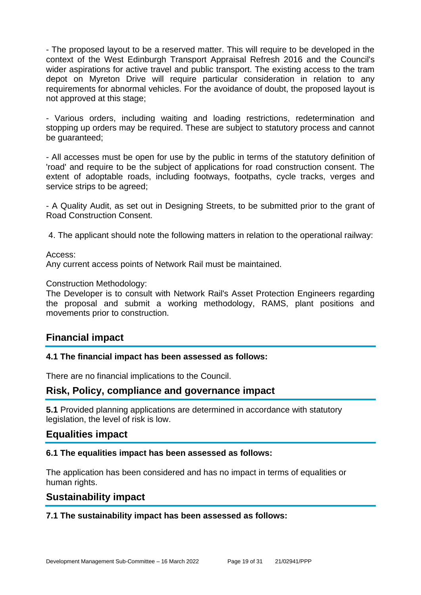- The proposed layout to be a reserved matter. This will require to be developed in the context of the West Edinburgh Transport Appraisal Refresh 2016 and the Council's wider aspirations for active travel and public transport. The existing access to the tram depot on Myreton Drive will require particular consideration in relation to any requirements for abnormal vehicles. For the avoidance of doubt, the proposed layout is not approved at this stage;

- Various orders, including waiting and loading restrictions, redetermination and stopping up orders may be required. These are subject to statutory process and cannot be guaranteed;

- All accesses must be open for use by the public in terms of the statutory definition of 'road' and require to be the subject of applications for road construction consent. The extent of adoptable roads, including footways, footpaths, cycle tracks, verges and service strips to be agreed;

- A Quality Audit, as set out in Designing Streets, to be submitted prior to the grant of Road Construction Consent.

4. The applicant should note the following matters in relation to the operational railway:

#### Access:

Any current access points of Network Rail must be maintained.

Construction Methodology:

The Developer is to consult with Network Rail's Asset Protection Engineers regarding the proposal and submit a working methodology, RAMS, plant positions and movements prior to construction.

## **Financial impact**

#### **4.1 The financial impact has been assessed as follows:**

There are no financial implications to the Council.

## **Risk, Policy, compliance and governance impact**

**5.1** Provided planning applications are determined in accordance with statutory legislation, the level of risk is low.

## **Equalities impact**

#### **6.1 The equalities impact has been assessed as follows:**

The application has been considered and has no impact in terms of equalities or human rights.

## **Sustainability impact**

#### **7.1 The sustainability impact has been assessed as follows:**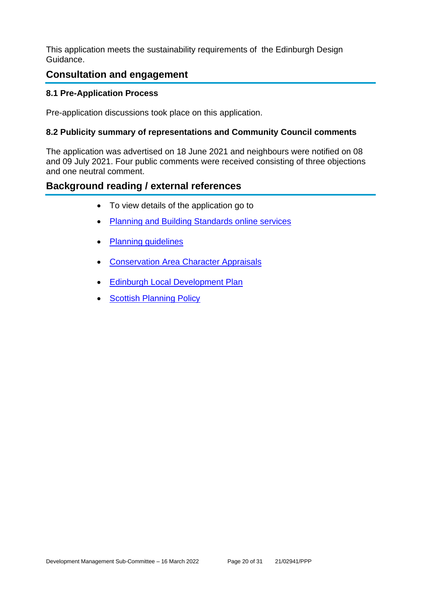This application meets the sustainability requirements of the Edinburgh Design Guidance.

## **Consultation and engagement**

#### **8.1 Pre-Application Process**

Pre-application discussions took place on this application.

#### **8.2 Publicity summary of representations and Community Council comments**

The application was advertised on 18 June 2021 and neighbours were notified on 08 and 09 July 2021. Four public comments were received consisting of three objections and one neutral comment.

## **Background reading / external references**

- To view details of the application go to
- [Planning and Building Standards online services](https://citydev-portal.edinburgh.gov.uk/idoxpa-web/search.do?action=simple&searchType=Application)
- [Planning guidelines](http://www.edinburgh.gov.uk/planningguidelines)
- [Conservation Area Character Appraisals](http://www.edinburgh.gov.uk/characterappraisals)
- [Edinburgh Local Development Plan](http://www.edinburgh.gov.uk/localdevelopmentplan)
- [Scottish Planning Policy](http://www.scotland.gov.uk/Topics/Built-Environment/planning/Policy)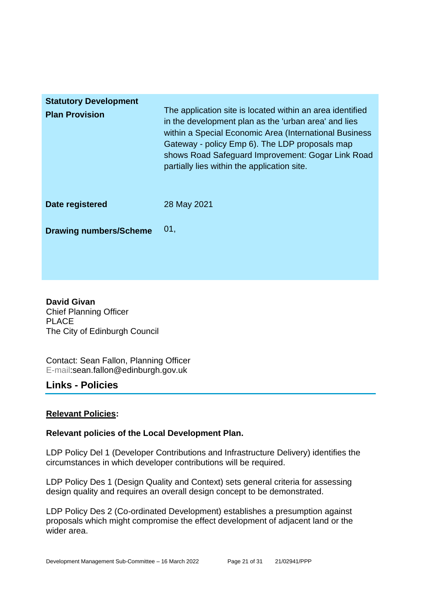| <b>Statutory Development</b><br><b>Plan Provision</b> | The application site is located within an area identified<br>in the development plan as the 'urban area' and lies<br>within a Special Economic Area (International Business<br>Gateway - policy Emp 6). The LDP proposals map<br>shows Road Safeguard Improvement: Gogar Link Road<br>partially lies within the application site. |
|-------------------------------------------------------|-----------------------------------------------------------------------------------------------------------------------------------------------------------------------------------------------------------------------------------------------------------------------------------------------------------------------------------|
| Date registered                                       | 28 May 2021                                                                                                                                                                                                                                                                                                                       |
| <b>Drawing numbers/Scheme</b>                         | 01,                                                                                                                                                                                                                                                                                                                               |

**David Givan** Chief Planning Officer PLACE The City of Edinburgh Council

Contact: Sean Fallon, Planning Officer E-mail:sean.fallon@edinburgh.gov.uk

## **Links - Policies**

## **Relevant Policies:**

## **Relevant policies of the Local Development Plan.**

LDP Policy Del 1 (Developer Contributions and Infrastructure Delivery) identifies the circumstances in which developer contributions will be required.

LDP Policy Des 1 (Design Quality and Context) sets general criteria for assessing design quality and requires an overall design concept to be demonstrated.

LDP Policy Des 2 (Co-ordinated Development) establishes a presumption against proposals which might compromise the effect development of adjacent land or the wider area.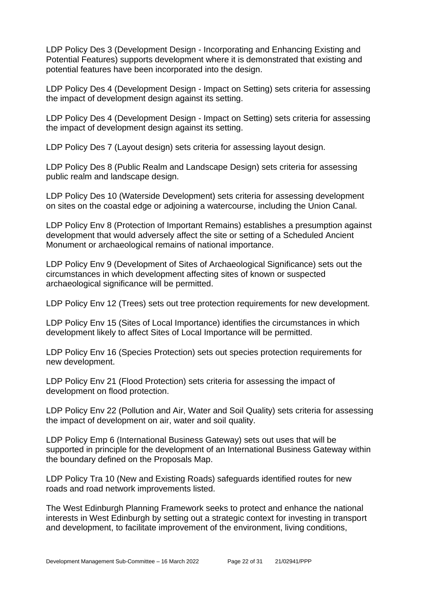LDP Policy Des 3 (Development Design - Incorporating and Enhancing Existing and Potential Features) supports development where it is demonstrated that existing and potential features have been incorporated into the design.

LDP Policy Des 4 (Development Design - Impact on Setting) sets criteria for assessing the impact of development design against its setting.

LDP Policy Des 4 (Development Design - Impact on Setting) sets criteria for assessing the impact of development design against its setting.

LDP Policy Des 7 (Layout design) sets criteria for assessing layout design.

LDP Policy Des 8 (Public Realm and Landscape Design) sets criteria for assessing public realm and landscape design.

LDP Policy Des 10 (Waterside Development) sets criteria for assessing development on sites on the coastal edge or adjoining a watercourse, including the Union Canal.

LDP Policy Env 8 (Protection of Important Remains) establishes a presumption against development that would adversely affect the site or setting of a Scheduled Ancient Monument or archaeological remains of national importance.

LDP Policy Env 9 (Development of Sites of Archaeological Significance) sets out the circumstances in which development affecting sites of known or suspected archaeological significance will be permitted.

LDP Policy Env 12 (Trees) sets out tree protection requirements for new development.

LDP Policy Env 15 (Sites of Local Importance) identifies the circumstances in which development likely to affect Sites of Local Importance will be permitted.

LDP Policy Env 16 (Species Protection) sets out species protection requirements for new development.

LDP Policy Env 21 (Flood Protection) sets criteria for assessing the impact of development on flood protection.

LDP Policy Env 22 (Pollution and Air, Water and Soil Quality) sets criteria for assessing the impact of development on air, water and soil quality.

LDP Policy Emp 6 (International Business Gateway) sets out uses that will be supported in principle for the development of an International Business Gateway within the boundary defined on the Proposals Map.

LDP Policy Tra 10 (New and Existing Roads) safeguards identified routes for new roads and road network improvements listed.

The West Edinburgh Planning Framework seeks to protect and enhance the national interests in West Edinburgh by setting out a strategic context for investing in transport and development, to facilitate improvement of the environment, living conditions,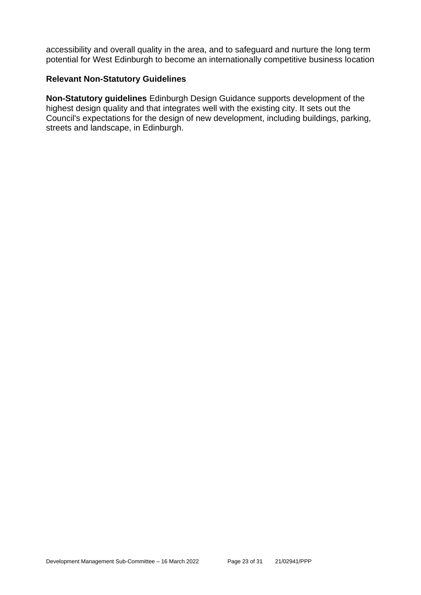accessibility and overall quality in the area, and to safeguard and nurture the long term potential for West Edinburgh to become an internationally competitive business location

#### **Relevant Non-Statutory Guidelines**

**Non-Statutory guidelines** Edinburgh Design Guidance supports development of the highest design quality and that integrates well with the existing city. It sets out the Council's expectations for the design of new development, including buildings, parking, streets and landscape, in Edinburgh.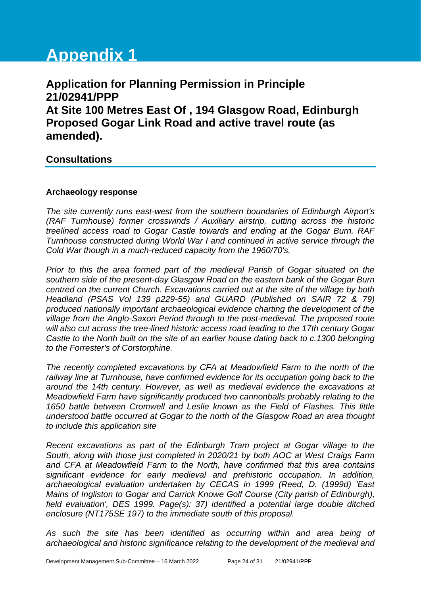# **Appendix 1**

**Application for Planning Permission in Principle 21/02941/PPP At Site 100 Metres East Of , 194 Glasgow Road, Edinburgh Proposed Gogar Link Road and active travel route (as amended).**

## **Consultations**

#### **Archaeology response**

*The site currently runs east-west from the southern boundaries of Edinburgh Airport's (RAF Turnhouse) former crosswinds / Auxiliary airstrip, cutting across the historic treelined access road to Gogar Castle towards and ending at the Gogar Burn. RAF Turnhouse constructed during World War I and continued in active service through the Cold War though in a much-reduced capacity from the 1960/70's.* 

*Prior to this the area formed part of the medieval Parish of Gogar situated on the southern side of the present-day Glasgow Road on the eastern bank of the Gogar Burn centred on the current Church. Excavations carried out at the site of the village by both Headland (PSAS Vol 139 p229-55) and GUARD (Published on SAIR 72 & 79) produced nationally important archaeological evidence charting the development of the village from the Anglo-Saxon Period through to the post-medieval. The proposed route will also cut across the tree-lined historic access road leading to the 17th century Gogar Castle to the North built on the site of an earlier house dating back to c.1300 belonging to the Forrester's of Corstorphine.* 

*The recently completed excavations by CFA at Meadowfield Farm to the north of the railway line at Turnhouse, have confirmed evidence for its occupation going back to the around the 14th century. However, as well as medieval evidence the excavations at Meadowfield Farm have significantly produced two cannonballs probably relating to the*  1650 battle between Cromwell and Leslie known as the Field of Flashes. This little *understood battle occurred at Gogar to the north of the Glasgow Road an area thought to include this application site*

*Recent excavations as part of the Edinburgh Tram project at Gogar village to the South, along with those just completed in 2020/21 by both AOC at West Craigs Farm and CFA at Meadowfield Farm to the North, have confirmed that this area contains significant evidence for early medieval and prehistoric occupation. In addition, archaeological evaluation undertaken by CECAS in 1999 (Reed, D. (1999d) 'East Mains of Ingliston to Gogar and Carrick Knowe Golf Course (City parish of Edinburgh), field evaluation', DES 1999. Page(s): 37) identified a potential large double ditched enclosure (NT175SE 197) to the immediate south of this proposal.*

*As such the site has been identified as occurring within and area being of archaeological and historic significance relating to the development of the medieval and*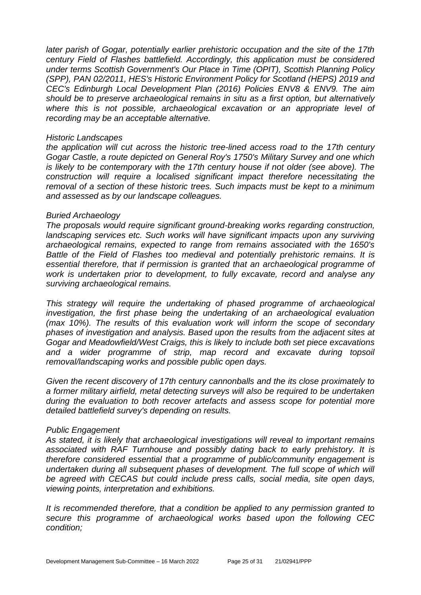*later parish of Gogar, potentially earlier prehistoric occupation and the site of the 17th century Field of Flashes battlefield. Accordingly, this application must be considered under terms Scottish Government's Our Place in Time (OPIT), Scottish Planning Policy (SPP), PAN 02/2011, HES's Historic Environment Policy for Scotland (HEPS) 2019 and CEC's Edinburgh Local Development Plan (2016) Policies ENV8 & ENV9. The aim should be to preserve archaeological remains in situ as a first option, but alternatively where this is not possible, archaeological excavation or an appropriate level of recording may be an acceptable alternative.*

#### *Historic Landscapes*

*the application will cut across the historic tree-lined access road to the 17th century Gogar Castle, a route depicted on General Roy's 1750's Military Survey and one which is likely to be contemporary with the 17th century house if not older (see above). The construction will require a localised significant impact therefore necessitating the removal of a section of these historic trees. Such impacts must be kept to a minimum and assessed as by our landscape colleagues.* 

#### *Buried Archaeology*

*The proposals would require significant ground-breaking works regarding construction,*  landscaping services etc. Such works will have significant impacts upon any surviving *archaeological remains, expected to range from remains associated with the 1650's Battle of the Field of Flashes too medieval and potentially prehistoric remains. It is essential therefore, that if permission is granted that an archaeological programme of work is undertaken prior to development, to fully excavate, record and analyse any surviving archaeological remains.* 

*This strategy will require the undertaking of phased programme of archaeological investigation, the first phase being the undertaking of an archaeological evaluation (max 10%). The results of this evaluation work will inform the scope of secondary phases of investigation and analysis. Based upon the results from the adjacent sites at Gogar and Meadowfield/West Craigs, this is likely to include both set piece excavations and a wider programme of strip, map record and excavate during topsoil removal/landscaping works and possible public open days.*

*Given the recent discovery of 17th century cannonballs and the its close proximately to a former military airfield, metal detecting surveys will also be required to be undertaken during the evaluation to both recover artefacts and assess scope for potential more detailed battlefield survey's depending on results.*

#### *Public Engagement*

*As stated, it is likely that archaeological investigations will reveal to important remains associated with RAF Turnhouse and possibly dating back to early prehistory. It is therefore considered essential that a programme of public/community engagement is undertaken during all subsequent phases of development. The full scope of which will be agreed with CECAS but could include press calls, social media, site open days, viewing points, interpretation and exhibitions.*

*It is recommended therefore, that a condition be applied to any permission granted to secure this programme of archaeological works based upon the following CEC condition;*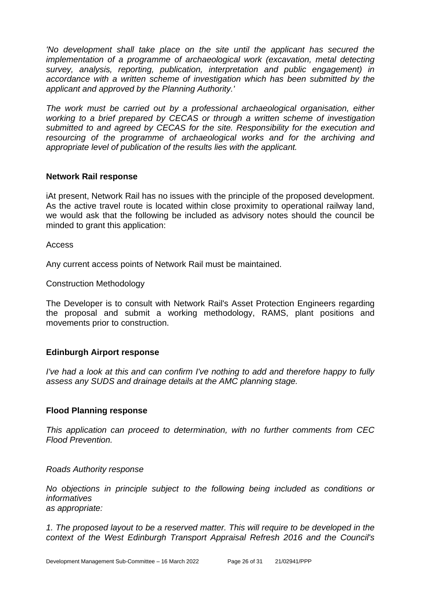*'No development shall take place on the site until the applicant has secured the implementation of a programme of archaeological work (excavation, metal detecting survey, analysis, reporting, publication, interpretation and public engagement) in accordance with a written scheme of investigation which has been submitted by the applicant and approved by the Planning Authority.'* 

*The work must be carried out by a professional archaeological organisation, either working to a brief prepared by CECAS or through a written scheme of investigation submitted to and agreed by CECAS for the site. Responsibility for the execution and resourcing of the programme of archaeological works and for the archiving and appropriate level of publication of the results lies with the applicant.*

#### **Network Rail response**

iAt present, Network Rail has no issues with the principle of the proposed development. As the active travel route is located within close proximity to operational railway land, we would ask that the following be included as advisory notes should the council be minded to grant this application:

Access

Any current access points of Network Rail must be maintained.

Construction Methodology

The Developer is to consult with Network Rail's Asset Protection Engineers regarding the proposal and submit a working methodology, RAMS, plant positions and movements prior to construction.

## **Edinburgh Airport response**

*I've had a look at this and can confirm I've nothing to add and therefore happy to fully assess any SUDS and drainage details at the AMC planning stage.*

#### **Flood Planning response**

*This application can proceed to determination, with no further comments from CEC Flood Prevention.*

*Roads Authority response*

*No objections in principle subject to the following being included as conditions or informatives as appropriate:*

*1. The proposed layout to be a reserved matter. This will require to be developed in the context of the West Edinburgh Transport Appraisal Refresh 2016 and the Council's*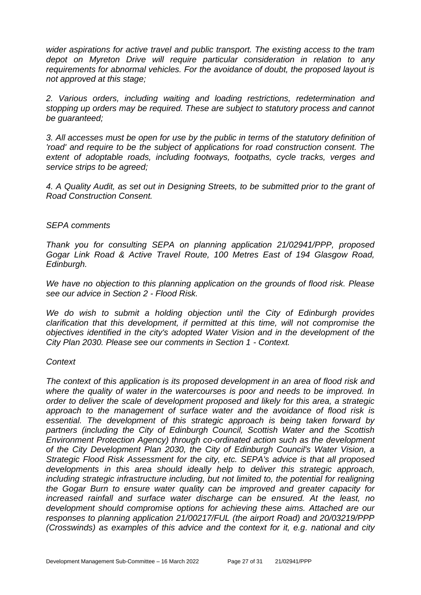*wider aspirations for active travel and public transport. The existing access to the tram depot on Myreton Drive will require particular consideration in relation to any requirements for abnormal vehicles. For the avoidance of doubt, the proposed layout is not approved at this stage;*

*2. Various orders, including waiting and loading restrictions, redetermination and stopping up orders may be required. These are subject to statutory process and cannot be guaranteed;*

*3. All accesses must be open for use by the public in terms of the statutory definition of 'road' and require to be the subject of applications for road construction consent. The extent of adoptable roads, including footways, footpaths, cycle tracks, verges and service strips to be agreed;*

*4. A Quality Audit, as set out in Designing Streets, to be submitted prior to the grant of Road Construction Consent.*

#### *SEPA comments*

*Thank you for consulting SEPA on planning application 21/02941/PPP, proposed Gogar Link Road & Active Travel Route, 100 Metres East of 194 Glasgow Road, Edinburgh.*

*We have no objection to this planning application on the grounds of flood risk. Please see our advice in Section 2 - Flood Risk.* 

*We do wish to submit a holding objection until the City of Edinburgh provides clarification that this development, if permitted at this time, will not compromise the objectives identified in the city's adopted Water Vision and in the development of the City Plan 2030. Please see our comments in Section 1 - Context.*

#### *Context*

*The context of this application is its proposed development in an area of flood risk and where the quality of water in the watercourses is poor and needs to be improved. In order to deliver the scale of development proposed and likely for this area, a strategic approach to the management of surface water and the avoidance of flood risk is essential. The development of this strategic approach is being taken forward by partners (including the City of Edinburgh Council, Scottish Water and the Scottish Environment Protection Agency) through co-ordinated action such as the development of the City Development Plan 2030, the City of Edinburgh Council's Water Vision, a Strategic Flood Risk Assessment for the city, etc. SEPA's advice is that all proposed developments in this area should ideally help to deliver this strategic approach, including strategic infrastructure including, but not limited to, the potential for realigning the Gogar Burn to ensure water quality can be improved and greater capacity for increased rainfall and surface water discharge can be ensured. At the least, no development should compromise options for achieving these aims. Attached are our responses to planning application 21/00217/FUL (the airport Road) and 20/03219/PPP (Crosswinds) as examples of this advice and the context for it, e.g. national and city*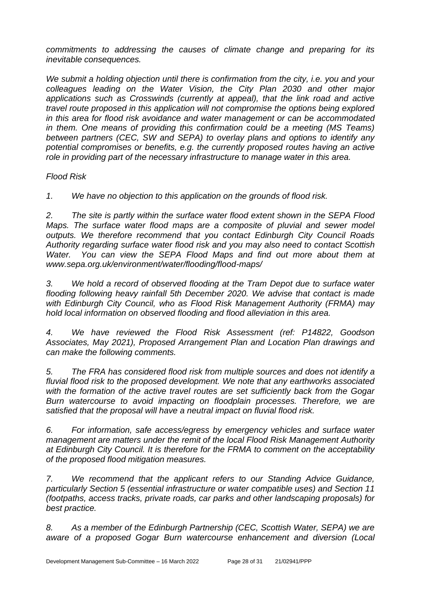*commitments to addressing the causes of climate change and preparing for its inevitable consequences.*

*We submit a holding objection until there is confirmation from the city, i.e. you and your colleagues leading on the Water Vision, the City Plan 2030 and other major applications such as Crosswinds (currently at appeal), that the link road and active travel route proposed in this application will not compromise the options being explored in this area for flood risk avoidance and water management or can be accommodated in them. One means of providing this confirmation could be a meeting (MS Teams) between partners (CEC, SW and SEPA) to overlay plans and options to identify any potential compromises or benefits, e.g. the currently proposed routes having an active role in providing part of the necessary infrastructure to manage water in this area.*

## *Flood Risk*

*1. We have no objection to this application on the grounds of flood risk.* 

*2. The site is partly within the surface water flood extent shown in the SEPA Flood Maps. The surface water flood maps are a composite of pluvial and sewer model outputs. We therefore recommend that you contact Edinburgh City Council Roads Authority regarding surface water flood risk and you may also need to contact Scottish Water. You can view the SEPA Flood Maps and find out more about them at www.sepa.org.uk/environment/water/flooding/flood-maps/* 

*3. We hold a record of observed flooding at the Tram Depot due to surface water flooding following heavy rainfall 5th December 2020. We advise that contact is made with Edinburgh City Council, who as Flood Risk Management Authority (FRMA) may hold local information on observed flooding and flood alleviation in this area.* 

*4. We have reviewed the Flood Risk Assessment (ref: P14822, Goodson Associates, May 2021), Proposed Arrangement Plan and Location Plan drawings and can make the following comments.* 

*5. The FRA has considered flood risk from multiple sources and does not identify a fluvial flood risk to the proposed development. We note that any earthworks associated with the formation of the active travel routes are set sufficiently back from the Gogar Burn watercourse to avoid impacting on floodplain processes. Therefore, we are satisfied that the proposal will have a neutral impact on fluvial flood risk.*

*6. For information, safe access/egress by emergency vehicles and surface water management are matters under the remit of the local Flood Risk Management Authority at Edinburgh City Council. It is therefore for the FRMA to comment on the acceptability of the proposed flood mitigation measures.* 

*7. We recommend that the applicant refers to our Standing Advice Guidance, particularly Section 5 (essential infrastructure or water compatible uses) and Section 11 (footpaths, access tracks, private roads, car parks and other landscaping proposals) for best practice.* 

*8. As a member of the Edinburgh Partnership (CEC, Scottish Water, SEPA) we are aware of a proposed Gogar Burn watercourse enhancement and diversion (Local*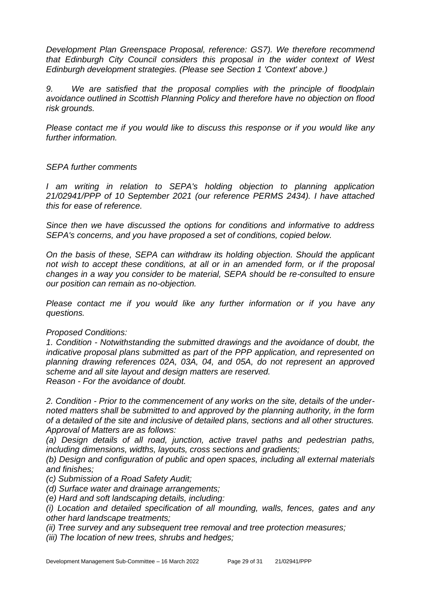*Development Plan Greenspace Proposal, reference: GS7). We therefore recommend that Edinburgh City Council considers this proposal in the wider context of West Edinburgh development strategies. (Please see Section 1 'Context' above.)*

*9. We are satisfied that the proposal complies with the principle of floodplain avoidance outlined in Scottish Planning Policy and therefore have no objection on flood risk grounds.*

*Please contact me if you would like to discuss this response or if you would like any further information.*

#### *SEPA further comments*

*I* am writing in relation to SEPA's holding objection to planning application *21/02941/PPP of 10 September 2021 (our reference PERMS 2434). I have attached this for ease of reference.*

*Since then we have discussed the options for conditions and informative to address SEPA's concerns, and you have proposed a set of conditions, copied below.*

*On the basis of these, SEPA can withdraw its holding objection. Should the applicant not wish to accept these conditions, at all or in an amended form, or if the proposal changes in a way you consider to be material, SEPA should be re-consulted to ensure our position can remain as no-objection.*

*Please contact me if you would like any further information or if you have any questions.* 

#### *Proposed Conditions:*

*1. Condition - Notwithstanding the submitted drawings and the avoidance of doubt, the indicative proposal plans submitted as part of the PPP application, and represented on planning drawing references 02A, 03A, 04, and 05A, do not represent an approved scheme and all site layout and design matters are reserved. Reason - For the avoidance of doubt.*

*2. Condition - Prior to the commencement of any works on the site, details of the undernoted matters shall be submitted to and approved by the planning authority, in the form of a detailed of the site and inclusive of detailed plans, sections and all other structures. Approval of Matters are as follows:*

*(a) Design details of all road, junction, active travel paths and pedestrian paths, including dimensions, widths, layouts, cross sections and gradients;*

*(b) Design and configuration of public and open spaces, including all external materials and finishes;*

*(c) Submission of a Road Safety Audit;*

*(d) Surface water and drainage arrangements;*

*(e) Hard and soft landscaping details, including:*

*(i) Location and detailed specification of all mounding, walls, fences, gates and any other hard landscape treatments;*

*(ii) Tree survey and any subsequent tree removal and tree protection measures;*

*(iii) The location of new trees, shrubs and hedges;*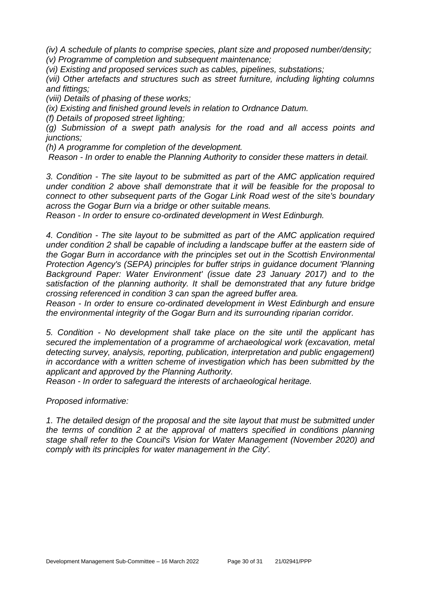*(iv) A schedule of plants to comprise species, plant size and proposed number/density; (v) Programme of completion and subsequent maintenance;*

*(vi) Existing and proposed services such as cables, pipelines, substations;*

*(vii) Other artefacts and structures such as street furniture, including lighting columns and fittings;*

*(viii) Details of phasing of these works;*

*(ix) Existing and finished ground levels in relation to Ordnance Datum.*

*(f) Details of proposed street lighting;*

*(g) Submission of a swept path analysis for the road and all access points and junctions;*

*(h) A programme for completion of the development.*

*Reason - In order to enable the Planning Authority to consider these matters in detail.*

*3. Condition - The site layout to be submitted as part of the AMC application required under condition 2 above shall demonstrate that it will be feasible for the proposal to connect to other subsequent parts of the Gogar Link Road west of the site's boundary across the Gogar Burn via a bridge or other suitable means.*

*Reason - In order to ensure co-ordinated development in West Edinburgh.*

*4. Condition - The site layout to be submitted as part of the AMC application required under condition 2 shall be capable of including a landscape buffer at the eastern side of the Gogar Burn in accordance with the principles set out in the Scottish Environmental Protection Agency's (SEPA) principles for buffer strips in guidance document 'Planning Background Paper: Water Environment' (issue date 23 January 2017) and to the satisfaction of the planning authority. It shall be demonstrated that any future bridge crossing referenced in condition 3 can span the agreed buffer area.*

*Reason - In order to ensure co-ordinated development in West Edinburgh and ensure the environmental integrity of the Gogar Burn and its surrounding riparian corridor.*

*5. Condition - No development shall take place on the site until the applicant has secured the implementation of a programme of archaeological work (excavation, metal detecting survey, analysis, reporting, publication, interpretation and public engagement) in accordance with a written scheme of investigation which has been submitted by the applicant and approved by the Planning Authority.*

*Reason - In order to safeguard the interests of archaeological heritage.*

*Proposed informative:*

*1. The detailed design of the proposal and the site layout that must be submitted under the terms of condition 2 at the approval of matters specified in conditions planning stage shall refer to the Council's Vision for Water Management (November 2020) and comply with its principles for water management in the City'.*